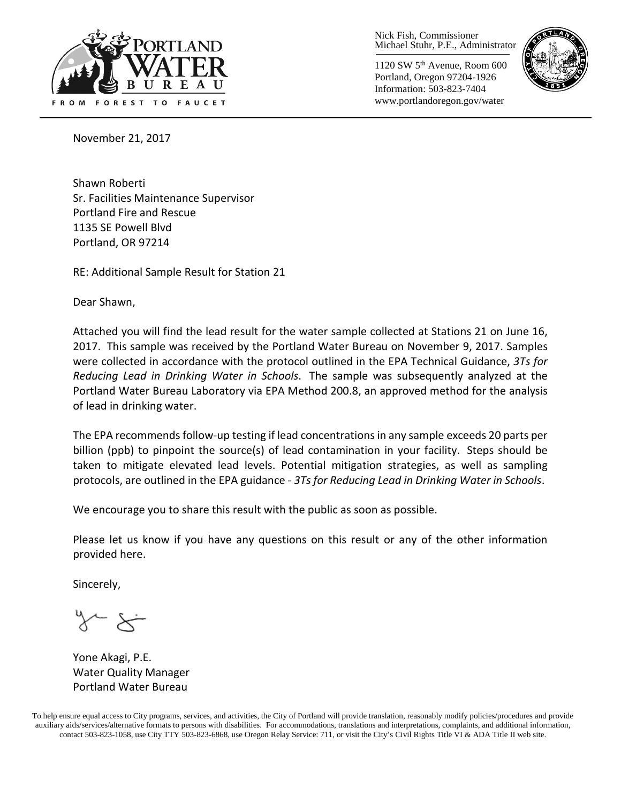

Nick Fish, Commissioner Michael Stuhr, P.E., Administrator

1120 SW 5th Avenue, Room 600 Portland, Oregon 97204-1926 Information: 503-823-7404 www.portlandoregon.gov/water



November 21, 2017

Shawn Roberti Sr. Facilities Maintenance Supervisor Portland Fire and Rescue 1135 SE Powell Blvd Portland, OR 97214

RE: Additional Sample Result for Station 21

Dear Shawn,

Attached you will find the lead result for the water sample collected at Stations 21 on June 16, 2017. This sample was received by the Portland Water Bureau on November 9, 2017. Samples were collected in accordance with the protocol outlined in the EPA Technical Guidance, *3Ts for Reducing Lead in Drinking Water in Schools*. The sample was subsequently analyzed at the Portland Water Bureau Laboratory via EPA Method 200.8, an approved method for the analysis of lead in drinking water.

The EPA recommends follow-up testing if lead concentrations in any sample exceeds 20 parts per billion (ppb) to pinpoint the source(s) of lead contamination in your facility. Steps should be taken to mitigate elevated lead levels. Potential mitigation strategies, as well as sampling protocols, are outlined in the EPA guidance - *3Ts for Reducing Lead in Drinking Water in Schools*.

We encourage you to share this result with the public as soon as possible.

Please let us know if you have any questions on this result or any of the other information provided here.

Sincerely,

Yone Akagi, P.E. Water Quality Manager Portland Water Bureau

To help ensure equal access to City programs, services, and activities, the City of Portland will provide translation, reasonably modify policies/procedures and provide auxiliary aids/services/alternative formats to persons with disabilities. For accommodations, translations and interpretations, complaints, and additional information, contact 503-823-1058, use City TTY 503-823-6868, use Oregon Relay Service: 711, or visi[t the City's Civil Rights Title VI & ADA Title II web site.](http://www.portlandoregon.gov/oehr/66458)